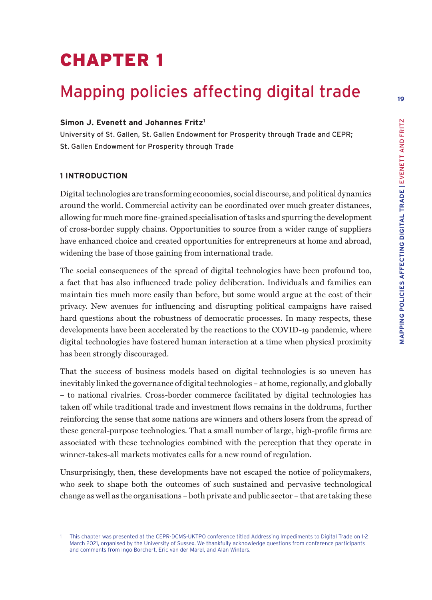# MAPPING POLICIES AFFECTING DIGITAL TRADE | EVENETT AND FRITZ **MAPPING POLICIES AFFECTING DIGITAL TRADE |** EVENETT AND FRITZ

**19**

# CHAPTER 1

# Mapping policies affecting digital trade

#### **Simon J. Evenett and Johannes Fritz1**

University of St. Gallen, St. Gallen Endowment for Prosperity through Trade and CEPR; St. Gallen Endowment for Prosperity through Trade

### **1 INTRODUCTION**

Digital technologies are transforming economies, social discourse, and political dynamics around the world. Commercial activity can be coordinated over much greater distances, allowing for much more fine-grained specialisation of tasks and spurring the development of cross-border supply chains. Opportunities to source from a wider range of suppliers have enhanced choice and created opportunities for entrepreneurs at home and abroad, widening the base of those gaining from international trade.

The social consequences of the spread of digital technologies have been profound too, a fact that has also influenced trade policy deliberation. Individuals and families can maintain ties much more easily than before, but some would argue at the cost of their privacy. New avenues for influencing and disrupting political campaigns have raised hard questions about the robustness of democratic processes. In many respects, these developments have been accelerated by the reactions to the COVID-19 pandemic, where digital technologies have fostered human interaction at a time when physical proximity has been strongly discouraged.

That the success of business models based on digital technologies is so uneven has inevitably linked the governance of digital technologies – at home, regionally, and globally – to national rivalries. Cross-border commerce facilitated by digital technologies has taken off while traditional trade and investment flows remains in the doldrums, further reinforcing the sense that some nations are winners and others losers from the spread of these general-purpose technologies. That a small number of large, high-profile firms are associated with these technologies combined with the perception that they operate in winner-takes-all markets motivates calls for a new round of regulation.

Unsurprisingly, then, these developments have not escaped the notice of policymakers, who seek to shape both the outcomes of such sustained and pervasive technological change as well as the organisations – both private and public sector – that are taking these

<sup>1</sup> This chapter was presented at the CEPR-DCMS-UKTPO conference titled Addressing Impediments to Digital Trade on 1-2 March 2021, organised by the University of Sussex. We thankfully acknowledge questions from conference participants and comments from Ingo Borchert, Eric van der Marel, and Alan Winters.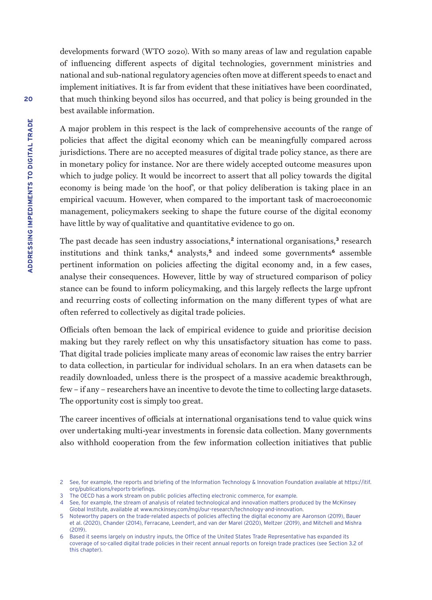developments forward (WTO 2020). With so many areas of law and regulation capable of influencing different aspects of digital technologies, government ministries and national and sub-national regulatory agencies often move at different speeds to enact and implement initiatives. It is far from evident that these initiatives have been coordinated, that much thinking beyond silos has occurred, and that policy is being grounded in the best available information.

A major problem in this respect is the lack of comprehensive accounts of the range of policies that affect the digital economy which can be meaningfully compared across jurisdictions. There are no accepted measures of digital trade policy stance, as there are in monetary policy for instance. Nor are there widely accepted outcome measures upon which to judge policy. It would be incorrect to assert that all policy towards the digital economy is being made 'on the hoof', or that policy deliberation is taking place in an empirical vacuum. However, when compared to the important task of macroeconomic management, policymakers seeking to shape the future course of the digital economy have little by way of qualitative and quantitative evidence to go on.

The past decade has seen industry associations,**<sup>2</sup>** international organisations,**<sup>3</sup>** research institutions and think tanks,**<sup>4</sup>** analysts,**<sup>5</sup>** and indeed some governments**<sup>6</sup>** assemble pertinent information on policies affecting the digital economy and, in a few cases, analyse their consequences. However, little by way of structured comparison of policy stance can be found to inform policymaking, and this largely reflects the large upfront and recurring costs of collecting information on the many different types of what are often referred to collectively as digital trade policies.

Officials often bemoan the lack of empirical evidence to guide and prioritise decision making but they rarely reflect on why this unsatisfactory situation has come to pass. That digital trade policies implicate many areas of economic law raises the entry barrier to data collection, in particular for individual scholars. In an era when datasets can be readily downloaded, unless there is the prospect of a massive academic breakthrough, few – if any – researchers have an incentive to devote the time to collecting large datasets. The opportunity cost is simply too great.

The career incentives of officials at international organisations tend to value quick wins over undertaking multi-year investments in forensic data collection. Many governments also withhold cooperation from the few information collection initiatives that public

<sup>2</sup> See, for example, the reports and briefing of the Information Technology & Innovation Foundation available at [https://itif.](https://itif.org/publications/reports-briefings) [org/publications/reports-briefings](https://itif.org/publications/reports-briefings).

<sup>3</sup> The OECD has a work stream on public policies affecting electronic commerce, for example.

<sup>4</sup> See, for example, the stream of analysis of related technological and innovation matters produced by the McKinsey Global Institute, available at www.mckinsey.com/mgi/our-research/technology-and-innovation.

<sup>5</sup> Noteworthy papers on the trade-related aspects of policies affecting the digital economy are Aaronson (2019), Bauer et al. (2020), Chander (2014), Ferracane, Leendert, and van der Marel (2020), Meltzer (2019), and Mitchell and Mishra (2019).

<sup>6</sup> Based it seems largely on industry inputs, the Office of the United States Trade Representative has expanded its coverage of so-called digital trade policies in their recent annual reports on foreign trade practices (see Section 3.2 of this chapter).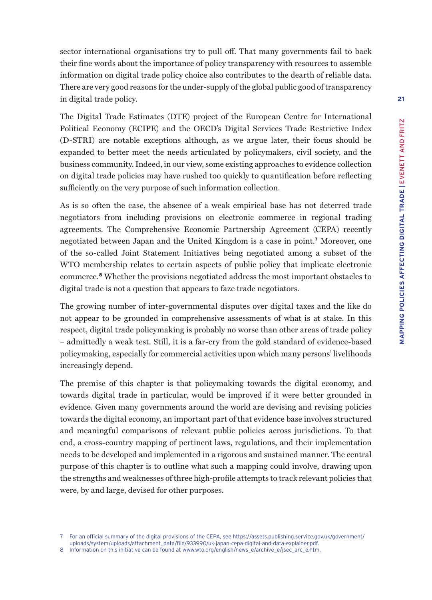sector international organisations try to pull off. That many governments fail to back their fine words about the importance of policy transparency with resources to assemble information on digital trade policy choice also contributes to the dearth of reliable data. There are very good reasons for the under-supply of the global public good of transparency in digital trade policy.

The Digital Trade Estimates (DTE) project of the European Centre for International Political Economy (ECIPE) and the OECD's Digital Services Trade Restrictive Index (D-STRI) are notable exceptions although, as we argue later, their focus should be expanded to better meet the needs articulated by policymakers, civil society, and the business community. Indeed, in our view, some existing approaches to evidence collection on digital trade policies may have rushed too quickly to quantification before reflecting sufficiently on the very purpose of such information collection.

As is so often the case, the absence of a weak empirical base has not deterred trade negotiators from including provisions on electronic commerce in regional trading agreements. The Comprehensive Economic Partnership Agreement (CEPA) recently negotiated between Japan and the United Kingdom is a case in point.**<sup>7</sup>** Moreover, one of the so-called Joint Statement Initiatives being negotiated among a subset of the WTO membership relates to certain aspects of public policy that implicate electronic commerce.**<sup>8</sup>** Whether the provisions negotiated address the most important obstacles to digital trade is not a question that appears to faze trade negotiators.

The growing number of inter-governmental disputes over digital taxes and the like do not appear to be grounded in comprehensive assessments of what is at stake. In this respect, digital trade policymaking is probably no worse than other areas of trade policy – admittedly a weak test. Still, it is a far-cry from the gold standard of evidence-based policymaking, especially for commercial activities upon which many persons' livelihoods increasingly depend.

The premise of this chapter is that policymaking towards the digital economy, and towards digital trade in particular, would be improved if it were better grounded in evidence. Given many governments around the world are devising and revising policies towards the digital economy, an important part of that evidence base involves structured and meaningful comparisons of relevant public policies across jurisdictions. To that end, a cross-country mapping of pertinent laws, regulations, and their implementation needs to be developed and implemented in a rigorous and sustained manner. The central purpose of this chapter is to outline what such a mapping could involve, drawing upon the strengths and weaknesses of three high-profile attempts to track relevant policies that were, by and large, devised for other purposes.

8 Information on this initiative can be found at www.wto.org/english/news\_e/archive\_e/jsec\_arc\_e.htm.

<sup>7</sup> For an official summary of the digital provisions of the CEPA, see [https://assets.publishing.service.gov.uk/government/](https://assets.publishing.service.gov.uk/government/uploads/system/uploads/attachment_data/file/933990/uk-japan-cepa-digital-and-data-explainer.pdf) [uploads/system/uploads/attachment\\_data/file/933990/uk-japan-cepa-digital-and-data-explainer.pdf](https://assets.publishing.service.gov.uk/government/uploads/system/uploads/attachment_data/file/933990/uk-japan-cepa-digital-and-data-explainer.pdf).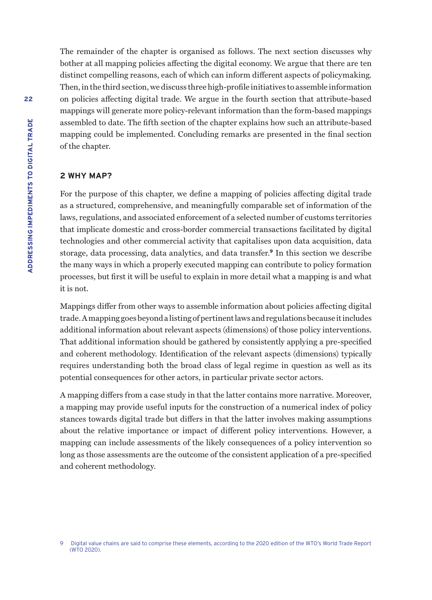The remainder of the chapter is organised as follows. The next section discusses why bother at all mapping policies affecting the digital economy. We argue that there are ten distinct compelling reasons, each of which can inform different aspects of policymaking. Then, in the third section, we discuss three high-profile initiatives to assemble information on policies affecting digital trade. We argue in the fourth section that attribute-based mappings will generate more policy-relevant information than the form-based mappings assembled to date. The fifth section of the chapter explains how such an attribute-based mapping could be implemented. Concluding remarks are presented in the final section of the chapter.

## **2 WHY MAP?**

For the purpose of this chapter, we define a mapping of policies affecting digital trade as a structured, comprehensive, and meaningfully comparable set of information of the laws, regulations, and associated enforcement of a selected number of customs territories that implicate domestic and cross-border commercial transactions facilitated by digital technologies and other commercial activity that capitalises upon data acquisition, data storage, data processing, data analytics, and data transfer.**<sup>9</sup>** In this section we describe the many ways in which a properly executed mapping can contribute to policy formation processes, but first it will be useful to explain in more detail what a mapping is and what it is not.

Mappings differ from other ways to assemble information about policies affecting digital trade. A mapping goes beyond a listing of pertinent laws and regulations because it includes additional information about relevant aspects (dimensions) of those policy interventions. That additional information should be gathered by consistently applying a pre-specified and coherent methodology. Identification of the relevant aspects (dimensions) typically requires understanding both the broad class of legal regime in question as well as its potential consequences for other actors, in particular private sector actors.

A mapping differs from a case study in that the latter contains more narrative. Moreover, a mapping may provide useful inputs for the construction of a numerical index of policy stances towards digital trade but differs in that the latter involves making assumptions about the relative importance or impact of different policy interventions. However, a mapping can include assessments of the likely consequences of a policy intervention so long as those assessments are the outcome of the consistent application of a pre-specified and coherent methodology.

<sup>9</sup> Digital value chains are said to comprise these elements, according to the 2020 edition of the WTO's World Trade Report (WTO 2020).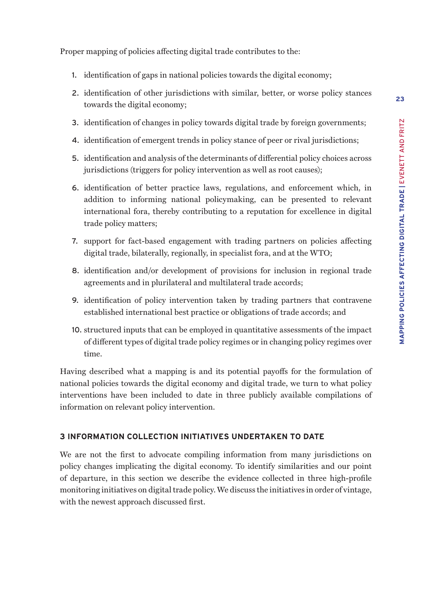**23**

Proper mapping of policies affecting digital trade contributes to the:

- 1. identification of gaps in national policies towards the digital economy;
- 2. identification of other jurisdictions with similar, better, or worse policy stances towards the digital economy;
- 3. identification of changes in policy towards digital trade by foreign governments;
- 4. identification of emergent trends in policy stance of peer or rival jurisdictions;
- 5. identification and analysis of the determinants of differential policy choices across jurisdictions (triggers for policy intervention as well as root causes);
- 6. identification of better practice laws, regulations, and enforcement which, in addition to informing national policymaking, can be presented to relevant international fora, thereby contributing to a reputation for excellence in digital trade policy matters;
- 7. support for fact-based engagement with trading partners on policies affecting digital trade, bilaterally, regionally, in specialist fora, and at the WTO;
- 8. identification and/or development of provisions for inclusion in regional trade agreements and in plurilateral and multilateral trade accords;
- 9. identification of policy intervention taken by trading partners that contravene established international best practice or obligations of trade accords; and
- 10. structured inputs that can be employed in quantitative assessments of the impact of different types of digital trade policy regimes or in changing policy regimes over time.

Having described what a mapping is and its potential payoffs for the formulation of national policies towards the digital economy and digital trade, we turn to what policy interventions have been included to date in three publicly available compilations of information on relevant policy intervention.

## **3 INFORMATION COLLECTION INITIATIVES UNDERTAKEN TO DATE**

We are not the first to advocate compiling information from many jurisdictions on policy changes implicating the digital economy. To identify similarities and our point of departure, in this section we describe the evidence collected in three high-profile monitoring initiatives on digital trade policy. We discuss the initiatives in order of vintage, with the newest approach discussed first.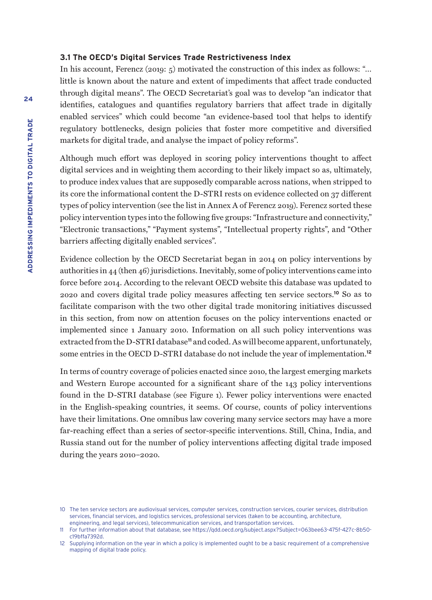#### **3.1 The OECD's Digital Services Trade Restrictiveness Index**

In his account, Ferencz (2019:  $5$ ) motivated the construction of this index as follows: "... little is known about the nature and extent of impediments that affect trade conducted through digital means". The OECD Secretariat's goal was to develop "an indicator that identifies, catalogues and quantifies regulatory barriers that affect trade in digitally enabled services" which could become "an evidence-based tool that helps to identify regulatory bottlenecks, design policies that foster more competitive and diversified markets for digital trade, and analyse the impact of policy reforms".

Although much effort was deployed in scoring policy interventions thought to affect digital services and in weighting them according to their likely impact so as, ultimately, to produce index values that are supposedly comparable across nations, when stripped to its core the informational content the D-STRI rests on evidence collected on 37 different types of policy intervention (see the list in Annex A of Ferencz 2019). Ferencz sorted these policy intervention types into the following five groups: "Infrastructure and connectivity," "Electronic transactions," "Payment systems", "Intellectual property rights", and "Other barriers affecting digitally enabled services".

Evidence collection by the OECD Secretariat began in 2014 on policy interventions by authorities in 44 (then 46) jurisdictions. Inevitably, some of policy interventions came into force before 2014. According to the relevant OECD website this database was updated to 2020 and covers digital trade policy measures affecting ten service sectors.**<sup>10</sup>** So as to facilitate comparison with the two other digital trade monitoring initiatives discussed in this section, from now on attention focuses on the policy interventions enacted or implemented since 1 January 2010. Information on all such policy interventions was extracted from the D-STRI database**<sup>11</sup>** and coded. As will become apparent, unfortunately, some entries in the OECD D-STRI database do not include the year of implementation.**<sup>12</sup>**

In terms of country coverage of policies enacted since 2010, the largest emerging markets and Western Europe accounted for a significant share of the 143 policy interventions found in the D-STRI database (see Figure 1). Fewer policy interventions were enacted in the English-speaking countries, it seems. Of course, counts of policy interventions have their limitations. One omnibus law covering many service sectors may have a more far-reaching effect than a series of sector-specific interventions. Still, China, India, and Russia stand out for the number of policy interventions affecting digital trade imposed during the years 2010–2020.

<sup>10</sup> The ten service sectors are audiovisual services, computer services, construction services, courier services, distribution services, financial services, and logistics services, professional services (taken to be accounting, architecture, engineering, and legal services), telecommunication services, and transportation services.

<sup>11</sup> For further information about that database, see https://qdd.oecd.org/subject.aspx?Subject=063bee63-475f-427c-8b50 c19bffa7392d.

<sup>12</sup> Supplying information on the year in which a policy is implemented ought to be a basic requirement of a comprehensive mapping of digital trade policy.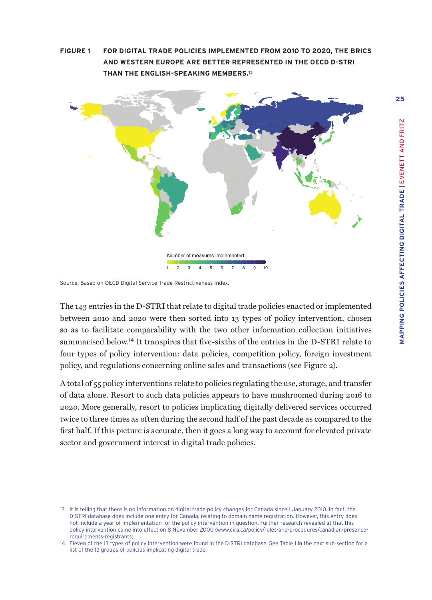**FIGURE 1 FOR DIGITAL TRADE POLICIES IMPLEMENTED FROM 2010 TO 2020, THE BRICS AND WESTERN EUROPE ARE BETTER REPRESENTED IN THE OECD D-STRI THAN THE ENGLISH-SPEAKING MEMBERS.13**



Source: Based on OECD Digital Service Trade Restrictiveness Index.

The 143 entries in the D-STRI that relate to digital trade policies enacted or implemented between 2010 and 2020 were then sorted into 13 types of policy intervention, chosen so as to facilitate comparability with the two other information collection initiatives summarised below.**<sup>14</sup>** It transpires that five-sixths of the entries in the D-STRI relate to four types of policy intervention: data policies, competition policy, foreign investment policy, and regulations concerning online sales and transactions (see Figure 2).

A total of 55 policy interventions relate to policies regulating the use, storage, and transfer of data alone. Resort to such data policies appears to have mushroomed during 2016 to 2020. More generally, resort to policies implicating digitally delivered services occurred twice to three times as often during the second half of the past decade as compared to the first half. If this picture is accurate, then it goes a long way to account for elevated private sector and government interest in digital trade policies.

<sup>13</sup> It is telling that there is no information on digital trade policy changes for Canada since 1 January 2010. In fact, the D-STRI database does include one entry for Canada, relating to domain name registration. However, this entry does not include a year of implementation for the policy intervention in question. Further research revealed at that this policy intervention came into effect on 8 November 2000 (www.cira.ca/policy/rules-and-procedures/canadian-presencerequirements-registrants).

<sup>14</sup> Eleven of the 13 types of policy intervention were found in the D-STRI database. See Table 1 in the next sub-section for a list of the 13 groups of policies implicating digital trade.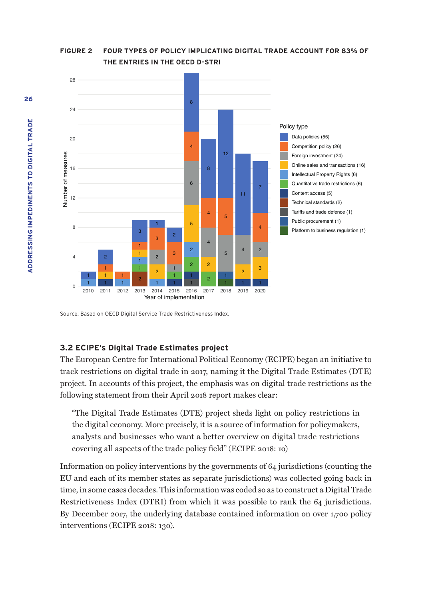

**FIGURE 2 FOUR TYPES OF POLICY IMPLICATING DIGITAL TRADE ACCOUNT FOR 83% OF THE ENTRIES IN THE OECD D-STRI**

Source: Based on OECD Digital Service Trade Restrictiveness Index.

#### **3.2 ECIPE's Digital Trade Estimates project**

The European Centre for International Political Economy (ECIPE) began an initiative to track restrictions on digital trade in 2017, naming it the Digital Trade Estimates (DTE) project. In accounts of this project, the emphasis was on digital trade restrictions as the following statement from their April 2018 report makes clear:

"The Digital Trade Estimates (DTE) project sheds light on policy restrictions in the digital economy. More precisely, it is a source of information for policymakers, analysts and businesses who want a better overview on digital trade restrictions covering all aspects of the trade policy field" (ECIPE 2018: 10)

Information on policy interventions by the governments of 64 jurisdictions (counting the EU and each of its member states as separate jurisdictions) was collected going back in time, in some cases decades. This information was coded so as to construct a Digital Trade Restrictiveness Index (DTRI) from which it was possible to rank the 64 jurisdictions. By December 2017, the underlying database contained information on over 1,700 policy interventions (ECIPE 2018: 130).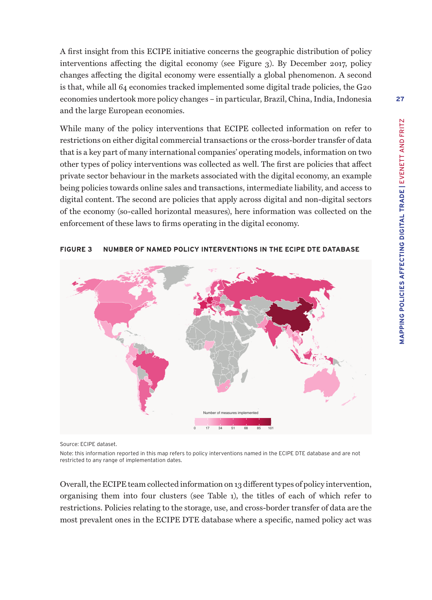A first insight from this ECIPE initiative concerns the geographic distribution of policy interventions affecting the digital economy (see Figure 3). By December 2017, policy changes affecting the digital economy were essentially a global phenomenon. A second is that, while all 64 economies tracked implemented some digital trade policies, the G20 economies undertook more policy changes – in particular, Brazil, China, India, Indonesia and the large European economies.

While many of the policy interventions that ECIPE collected information on refer to restrictions on either digital commercial transactions or the cross-border transfer of data that is a key part of many international companies' operating models, information on two other types of policy interventions was collected as well. The first are policies that affect private sector behaviour in the markets associated with the digital economy, an example being policies towards online sales and transactions, intermediate liability, and access to digital content. The second are policies that apply across digital and non-digital sectors of the economy (so-called horizontal measures), here information was collected on the enforcement of these laws to firms operating in the digital economy.



#### **FIGURE 3 NUMBER OF NAMED POLICY INTERVENTIONS IN THE ECIPE DTE DATABASE**

Source: ECIPE dataset.

Note: this information reported in this map refers to policy interventions named in the ECIPE DTE database and are not restricted to any range of implementation dates.

Overall, the ECIPE team collected information on 13 different types of policy intervention, organising them into four clusters (see Table 1), the titles of each of which refer to restrictions. Policies relating to the storage, use, and cross-border transfer of data are the most prevalent ones in the ECIPE DTE database where a specific, named policy act was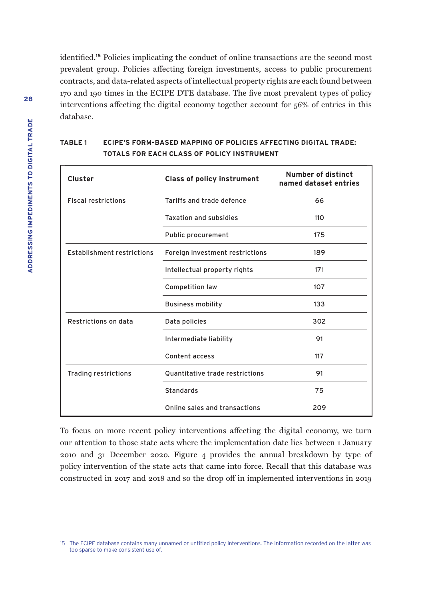identified.**<sup>15</sup>** Policies implicating the conduct of online transactions are the second most prevalent group. Policies affecting foreign investments, access to public procurement contracts, and data-related aspects of intellectual property rights are each found between 170 and 190 times in the ECIPE DTE database. The five most prevalent types of policy interventions affecting the digital economy together account for 56% of entries in this database.

| Cluster                           | <b>Class of policy instrument</b> | Number of distinct<br>named dataset entries |
|-----------------------------------|-----------------------------------|---------------------------------------------|
| <b>Fiscal restrictions</b>        | Tariffs and trade defence         | 66                                          |
|                                   | <b>Taxation and subsidies</b>     | 110                                         |
|                                   | Public procurement                | 175                                         |
| <b>Establishment restrictions</b> | Foreign investment restrictions   | 189                                         |
|                                   | Intellectual property rights      | 171                                         |
|                                   | <b>Competition law</b>            | 107                                         |
|                                   | <b>Business mobility</b>          | 133                                         |
| Restrictions on data              | Data policies                     | 302                                         |
|                                   | Intermediate liability            | 91                                          |
|                                   | Content access                    | 117                                         |
| Trading restrictions              | Quantitative trade restrictions   | 91                                          |
|                                   | <b>Standards</b>                  | 75                                          |
|                                   | Online sales and transactions     | 209                                         |

## **TABLE 1 ECIPE'S FORM-BASED MAPPING OF POLICIES AFFECTING DIGITAL TRADE: TOTALS FOR EACH CLASS OF POLICY INSTRUMENT**

To focus on more recent policy interventions affecting the digital economy, we turn our attention to those state acts where the implementation date lies between 1 January 2010 and 31 December 2020. Figure 4 provides the annual breakdown by type of policy intervention of the state acts that came into force. Recall that this database was constructed in 2017 and 2018 and so the drop off in implemented interventions in 2019

<sup>15</sup> The ECIPE database contains many unnamed or untitled policy interventions. The information recorded on the latter was too sparse to make consistent use of.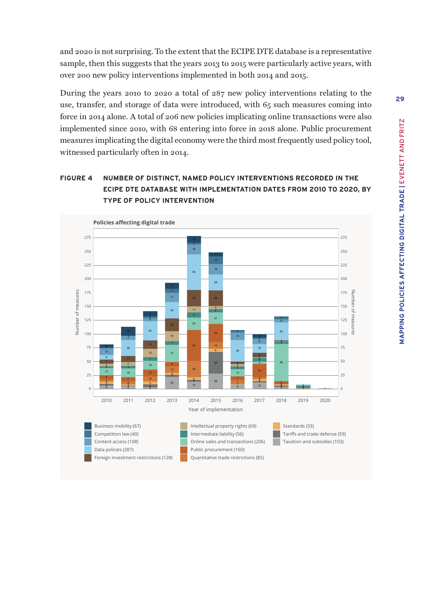and 2020 is not surprising. To the extent that the ECIPE DTE database is a representative sample, then this suggests that the years 2013 to 2015 were particularly active years, with over 200 new policy interventions implemented in both 2014 and 2015.

During the years 2010 to 2020 a total of 287 new policy interventions relating to the use, transfer, and storage of data were introduced, with 65 such measures coming into force in 2014 alone. A total of 206 new policies implicating online transactions were also implemented since 2010, with 68 entering into force in 2018 alone. Public procurement measures implicating the digital economy were the third most frequently used policy tool, witnessed particularly often in 2014.

# **FIGURE 4 NUMBER OF DISTINCT, NAMED POLICY INTERVENTIONS RECORDED IN THE ECIPE DTE DATABASE WITH IMPLEMENTATION DATES FROM 2010 TO 2020, BY TYPE OF POLICY INTERVENTION**

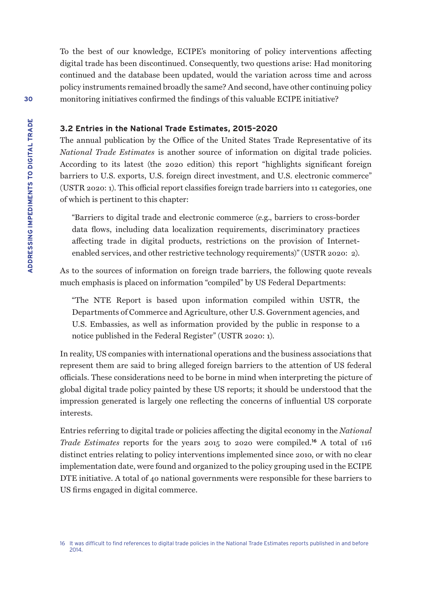To the best of our knowledge, ECIPE's monitoring of policy interventions affecting digital trade has been discontinued. Consequently, two questions arise: Had monitoring continued and the database been updated, would the variation across time and across policy instruments remained broadly the same? And second, have other continuing policy monitoring initiatives confirmed the findings of this valuable ECIPE initiative?

#### **3.2 Entries in the National Trade Estimates, 2015–2020**

The annual publication by the Office of the United States Trade Representative of its *National Trade Estimates* is another source of information on digital trade policies. According to its latest (the 2020 edition) this report "highlights significant foreign barriers to U.S. exports, U.S. foreign direct investment, and U.S. electronic commerce" (USTR 2020: 1). This official report classifies foreign trade barriers into 11 categories, one of which is pertinent to this chapter:

"Barriers to digital trade and electronic commerce (e.g., barriers to cross-border data flows, including data localization requirements, discriminatory practices affecting trade in digital products, restrictions on the provision of Internetenabled services, and other restrictive technology requirements)" (USTR 2020: 2).

As to the sources of information on foreign trade barriers, the following quote reveals much emphasis is placed on information "compiled" by US Federal Departments:

"The NTE Report is based upon information compiled within USTR, the Departments of Commerce and Agriculture, other U.S. Government agencies, and U.S. Embassies, as well as information provided by the public in response to a notice published in the Federal Register" (USTR 2020: 1).

In reality, US companies with international operations and the business associations that represent them are said to bring alleged foreign barriers to the attention of US federal officials. These considerations need to be borne in mind when interpreting the picture of global digital trade policy painted by these US reports; it should be understood that the impression generated is largely one reflecting the concerns of influential US corporate interests.

Entries referring to digital trade or policies affecting the digital economy in the *National Trade Estimates* reports for the years 2015 to 2020 were compiled.**<sup>16</sup>** A total of 116 distinct entries relating to policy interventions implemented since 2010, or with no clear implementation date, were found and organized to the policy grouping used in the ECIPE DTE initiative. A total of 40 national governments were responsible for these barriers to US firms engaged in digital commerce.

<sup>16</sup> It was difficult to find references to digital trade policies in the National Trade Estimates reports published in and before 2014.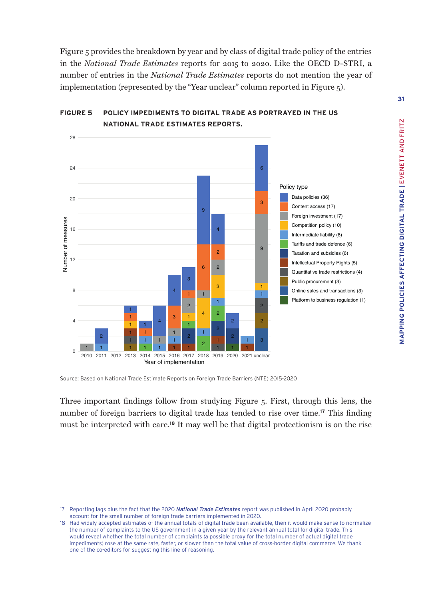Figure 5 provides the breakdown by year and by class of digital trade policy of the entries in the *National Trade Estimates* reports for 2015 to 2020. Like the OECD D-STRI, a number of entries in the *National Trade Estimates* reports do not mention the year of implementation (represented by the "Year unclear" column reported in Figure 5).



# **FIGURE 5 POLICY IMPEDIMENTS TO DIGITAL TRADE AS PORTRAYED IN THE US NATIONAL TRADE ESTIMATES REPORTS.**

Source: Based on National Trade Estimate Reports on Foreign Trade Barriers (NTE) 2015-2020

Three important findings follow from studying Figure 5. First, through this lens, the number of foreign barriers to digital trade has tended to rise over time.**<sup>17</sup>** This finding must be interpreted with care.**<sup>18</sup>** It may well be that digital protectionism is on the rise

 Reporting lags plus the fact that the 2020 *National Trade Estimates* report was published in April 2020 probably account for the small number of foreign trade barriers implemented in 2020.

 Had widely accepted estimates of the annual totals of digital trade been available, then it would make sense to normalize the number of complaints to the US government in a given year by the relevant annual total for digital trade. This would reveal whether the total number of complaints (a possible proxy for the total number of actual digital trade impediments) rose at the same rate, faster, or slower than the total value of cross-border digital commerce. We thank one of the co-editors for suggesting this line of reasoning.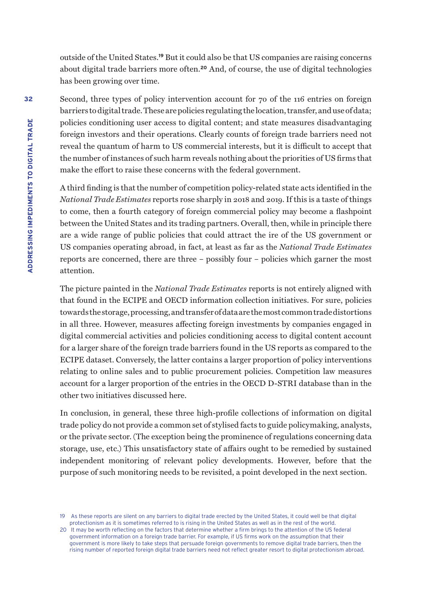outside of the United States.**<sup>19</sup>** But it could also be that US companies are raising concerns about digital trade barriers more often.**<sup>20</sup>** And, of course, the use of digital technologies has been growing over time.

Second, three types of policy intervention account for 70 of the 116 entries on foreign barriers to digital trade. These are policies regulating the location, transfer, and use of data; policies conditioning user access to digital content; and state measures disadvantaging foreign investors and their operations. Clearly counts of foreign trade barriers need not reveal the quantum of harm to US commercial interests, but it is difficult to accept that the number of instances of such harm reveals nothing about the priorities of US firms that make the effort to raise these concerns with the federal government.

A third finding is that the number of competition policy-related state acts identified in the *National Trade Estimates* reports rose sharply in 2018 and 2019. If this is a taste of things to come, then a fourth category of foreign commercial policy may become a flashpoint between the United States and its trading partners. Overall, then, while in principle there are a wide range of public policies that could attract the ire of the US government or US companies operating abroad, in fact, at least as far as the *National Trade Estimates*  reports are concerned, there are three – possibly four – policies which garner the most attention.

The picture painted in the *National Trade Estimates* reports is not entirely aligned with that found in the ECIPE and OECD information collection initiatives. For sure, policies towards the storage, processing, and transfer of data are the most common trade distortions in all three. However, measures affecting foreign investments by companies engaged in digital commercial activities and policies conditioning access to digital content account for a larger share of the foreign trade barriers found in the US reports as compared to the ECIPE dataset. Conversely, the latter contains a larger proportion of policy interventions relating to online sales and to public procurement policies. Competition law measures account for a larger proportion of the entries in the OECD D-STRI database than in the other two initiatives discussed here.

In conclusion, in general, these three high-profile collections of information on digital trade policy do not provide a common set of stylised facts to guide policymaking, analysts, or the private sector. (The exception being the prominence of regulations concerning data storage, use, etc.) This unsatisfactory state of affairs ought to be remedied by sustained independent monitoring of relevant policy developments. However, before that the purpose of such monitoring needs to be revisited, a point developed in the next section.

<sup>19</sup> As these reports are silent on any barriers to digital trade erected by the United States, it could well be that digital protectionism as it is sometimes referred to is rising in the United States as well as in the rest of the world.

<sup>20</sup> It may be worth reflecting on the factors that determine whether a firm brings to the attention of the US federal government information on a foreign trade barrier. For example, if US firms work on the assumption that their government is more likely to take steps that persuade foreign governments to remove digital trade barriers, then the rising number of reported foreign digital trade barriers need not reflect greater resort to digital protectionism abroad.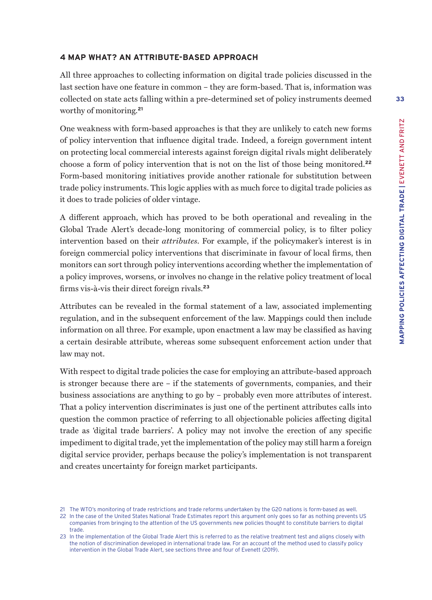#### **4 MAP WHAT? AN ATTRIBUTE-BASED APPROACH**

All three approaches to collecting information on digital trade policies discussed in the last section have one feature in common – they are form-based. That is, information was collected on state acts falling within a pre-determined set of policy instruments deemed worthy of monitoring.**<sup>21</sup>**

One weakness with form-based approaches is that they are unlikely to catch new forms of policy intervention that influence digital trade. Indeed, a foreign government intent on protecting local commercial interests against foreign digital rivals might deliberately choose a form of policy intervention that is not on the list of those being monitored.**<sup>22</sup>** Form-based monitoring initiatives provide another rationale for substitution between trade policy instruments. This logic applies with as much force to digital trade policies as it does to trade policies of older vintage.

A different approach, which has proved to be both operational and revealing in the Global Trade Alert's decade-long monitoring of commercial policy, is to filter policy intervention based on their *attributes*. For example, if the policymaker's interest is in foreign commercial policy interventions that discriminate in favour of local firms, then monitors can sort through policy interventions according whether the implementation of a policy improves, worsens, or involves no change in the relative policy treatment of local firms vis-à-vis their direct foreign rivals.**<sup>23</sup>**

Attributes can be revealed in the formal statement of a law, associated implementing regulation, and in the subsequent enforcement of the law. Mappings could then include information on all three. For example, upon enactment a law may be classified as having a certain desirable attribute, whereas some subsequent enforcement action under that law may not.

With respect to digital trade policies the case for employing an attribute-based approach is stronger because there are – if the statements of governments, companies, and their business associations are anything to go by – probably even more attributes of interest. That a policy intervention discriminates is just one of the pertinent attributes calls into question the common practice of referring to all objectionable policies affecting digital trade as 'digital trade barriers'. A policy may not involve the erection of any specific impediment to digital trade, yet the implementation of the policy may still harm a foreign digital service provider, perhaps because the policy's implementation is not transparent and creates uncertainty for foreign market participants.

<sup>21</sup> The WTO's monitoring of trade restrictions and trade reforms undertaken by the G20 nations is form-based as well.

<sup>22</sup> In the case of the United States National Trade Estimates report this argument only goes so far as nothing prevents US companies from bringing to the attention of the US governments new policies thought to constitute barriers to digital trade.

<sup>23</sup> In the implementation of the Global Trade Alert this is referred to as the relative treatment test and aligns closely with the notion of discrimination developed in international trade law. For an account of the method used to classify policy intervention in the Global Trade Alert, see sections three and four of Evenett (2019).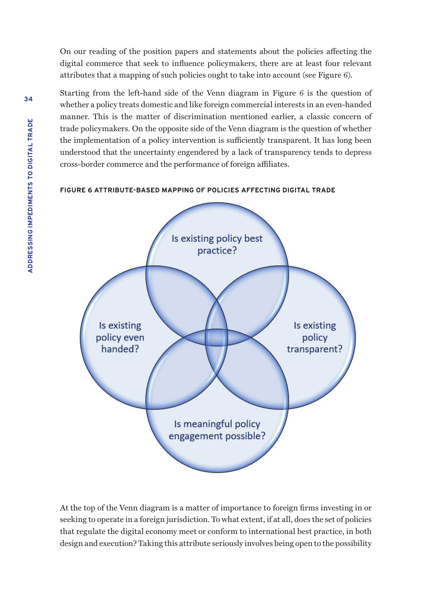On our reading of the position papers and statements about the policies affecting the digital commerce that seek to influence policymakers, there are at least four relevant attributes that a mapping of such policies ought to take into account (see Figure 6).

Starting from the left-hand side of the Venn diagram in Figure 6 is the question of whether a policy treats domestic and like foreign commercial interests in an even-handed manner. This is the matter of discrimination mentioned earlier, a classic concern of trade policymakers. On the opposite side of the Venn diagram is the question of whether the implementation of a policy intervention is sufficiently transparent. It has long been understood that the uncertainty engendered by a lack of transparency tends to depress cross-border commerce and the performance of foreign affiliates.

#### **FIGURE 6 ATTRIBUTE-BASED MAPPING OF POLICIES AFFECTING DIGITAL TRADE**



At the top of the Venn diagram is a matter of importance to foreign firms investing in or seeking to operate in a foreign jurisdiction. To what extent, if at all, does the set of policies that regulate the digital economy meet or conform to international best practice, in both design and execution? Taking this attribute seriously involves being open to the possibility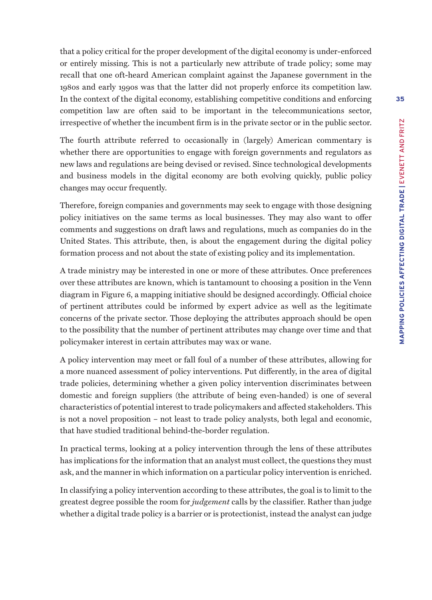that a policy critical for the proper development of the digital economy is under-enforced or entirely missing. This is not a particularly new attribute of trade policy; some may recall that one oft-heard American complaint against the Japanese government in the 1980s and early 1990s was that the latter did not properly enforce its competition law. In the context of the digital economy, establishing competitive conditions and enforcing competition law are often said to be important in the telecommunications sector, irrespective of whether the incumbent firm is in the private sector or in the public sector.

The fourth attribute referred to occasionally in (largely) American commentary is whether there are opportunities to engage with foreign governments and regulators as new laws and regulations are being devised or revised. Since technological developments and business models in the digital economy are both evolving quickly, public policy changes may occur frequently.

Therefore, foreign companies and governments may seek to engage with those designing policy initiatives on the same terms as local businesses. They may also want to offer comments and suggestions on draft laws and regulations, much as companies do in the United States. This attribute, then, is about the engagement during the digital policy formation process and not about the state of existing policy and its implementation.

A trade ministry may be interested in one or more of these attributes. Once preferences over these attributes are known, which is tantamount to choosing a position in the Venn diagram in Figure 6, a mapping initiative should be designed accordingly. Official choice of pertinent attributes could be informed by expert advice as well as the legitimate concerns of the private sector. Those deploying the attributes approach should be open to the possibility that the number of pertinent attributes may change over time and that policymaker interest in certain attributes may wax or wane.

A policy intervention may meet or fall foul of a number of these attributes, allowing for a more nuanced assessment of policy interventions. Put differently, in the area of digital trade policies, determining whether a given policy intervention discriminates between domestic and foreign suppliers (the attribute of being even-handed) is one of several characteristics of potential interest to trade policymakers and affected stakeholders. This is not a novel proposition – not least to trade policy analysts, both legal and economic, that have studied traditional behind-the-border regulation.

In practical terms, looking at a policy intervention through the lens of these attributes has implications for the information that an analyst must collect, the questions they must ask, and the manner in which information on a particular policy intervention is enriched.

In classifying a policy intervention according to these attributes, the goal is to limit to the greatest degree possible the room for *judgement* calls by the classifier. Rather than judge whether a digital trade policy is a barrier or is protectionist, instead the analyst can judge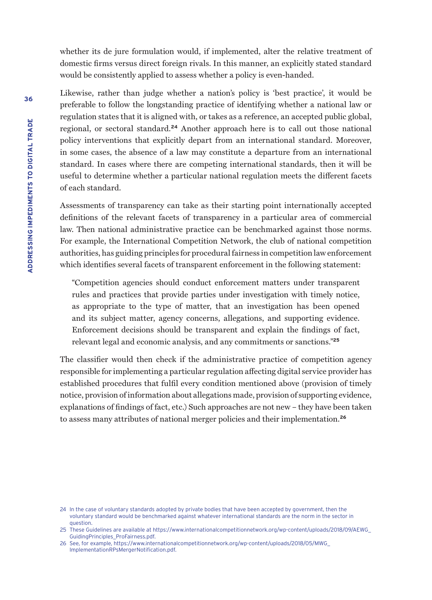whether its de jure formulation would, if implemented, alter the relative treatment of domestic firms versus direct foreign rivals. In this manner, an explicitly stated standard would be consistently applied to assess whether a policy is even-handed.

Likewise, rather than judge whether a nation's policy is 'best practice', it would be preferable to follow the longstanding practice of identifying whether a national law or regulation states that it is aligned with, or takes as a reference, an accepted public global, regional, or sectoral standard.**<sup>24</sup>** Another approach here is to call out those national policy interventions that explicitly depart from an international standard. Moreover, in some cases, the absence of a law may constitute a departure from an international standard. In cases where there are competing international standards, then it will be useful to determine whether a particular national regulation meets the different facets of each standard.

Assessments of transparency can take as their starting point internationally accepted definitions of the relevant facets of transparency in a particular area of commercial law. Then national administrative practice can be benchmarked against those norms. For example, the International Competition Network, the club of national competition authorities, has guiding principles for procedural fairness in competition law enforcement which identifies several facets of transparent enforcement in the following statement:

"Competition agencies should conduct enforcement matters under transparent rules and practices that provide parties under investigation with timely notice, as appropriate to the type of matter, that an investigation has been opened and its subject matter, agency concerns, allegations, and supporting evidence. Enforcement decisions should be transparent and explain the findings of fact, relevant legal and economic analysis, and any commitments or sanctions."**<sup>25</sup>**

The classifier would then check if the administrative practice of competition agency responsible for implementing a particular regulation affecting digital service provider has established procedures that fulfil every condition mentioned above (provision of timely notice, provision of information about allegations made, provision of supporting evidence, explanations of findings of fact, etc.) Such approaches are not new – they have been taken to assess many attributes of national merger policies and their implementation.**<sup>26</sup>**

<sup>24</sup> In the case of voluntary standards adopted by private bodies that have been accepted by government, then the voluntary standard would be benchmarked against whatever international standards are the norm in the sector in question.

<sup>25</sup> These Guidelines are available at [https://www.internationalcompetitionnetwork.org/wp-content/uploads/2018/09/AEWG\\_](https://www.internationalcompetitionnetwork.org/wp-content/uploads/2018/09/AEWG_GuidingPrinciples_ProFairness.pdf) [GuidingPrinciples\\_ProFairness.pdf.](https://www.internationalcompetitionnetwork.org/wp-content/uploads/2018/09/AEWG_GuidingPrinciples_ProFairness.pdf)

<sup>26</sup> See, for example, [https://www.internationalcompetitionnetwork.org/wp-content/uploads/2018/05/MWG\\_](https://www.internationalcompetitionnetwork.org/wp-content/uploads/2018/05/MWG_ImplementationRPsMergerNotification.pdf) [ImplementationRPsMergerNotification.pdf](https://www.internationalcompetitionnetwork.org/wp-content/uploads/2018/05/MWG_ImplementationRPsMergerNotification.pdf).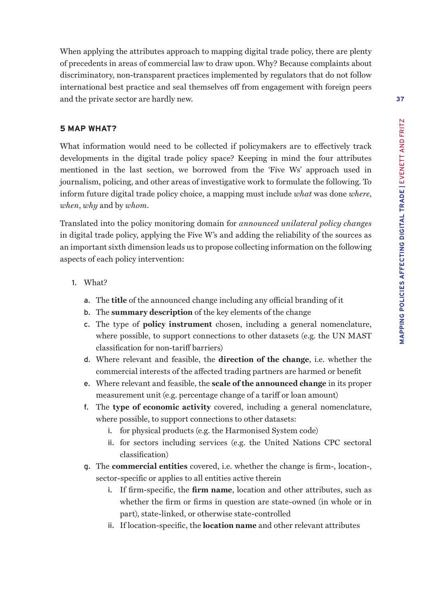When applying the attributes approach to mapping digital trade policy, there are plenty of precedents in areas of commercial law to draw upon. Why? Because complaints about discriminatory, non-transparent practices implemented by regulators that do not follow international best practice and seal themselves off from engagement with foreign peers and the private sector are hardly new.

### **5 MAP WHAT?**

What information would need to be collected if policymakers are to effectively track developments in the digital trade policy space? Keeping in mind the four attributes mentioned in the last section, we borrowed from the 'Five Ws' approach used in journalism, policing, and other areas of investigative work to formulate the following. To inform future digital trade policy choice, a mapping must include *what* was done *where*, *when*, *why* and by *whom*.

Translated into the policy monitoring domain for *announced unilateral policy changes* in digital trade policy, applying the Five W's and adding the reliability of the sources as an important sixth dimension leads us to propose collecting information on the following aspects of each policy intervention:

- 1. What?
	- a. The **title** of the announced change including any official branding of it
	- b. The **summary description** of the key elements of the change
	- c. The type of **policy instrument** chosen, including a general nomenclature, where possible, to support connections to other datasets (e.g. the UN MAST classification for non-tariff barriers)
	- d. Where relevant and feasible, the **direction of the change**, i.e. whether the commercial interests of the affected trading partners are harmed or benefit
	- e. Where relevant and feasible, the **scale of the announced change** in its proper measurement unit (e.g. percentage change of a tariff or loan amount)
	- f. The **type of economic activity** covered, including a general nomenclature, where possible, to support connections to other datasets:
		- i. for physical products (e.g. the Harmonised System code)
		- ii. for sectors including services (e.g. the United Nations CPC sectoral classification)
	- g. The **commercial entities** covered, i.e. whether the change is firm-, location-, sector-specific or applies to all entities active therein
		- i. If firm-specific, the **firm name**, location and other attributes, such as whether the firm or firms in question are state-owned (in whole or in part), state-linked, or otherwise state-controlled
		- ii. If location-specific, the **location name** and other relevant attributes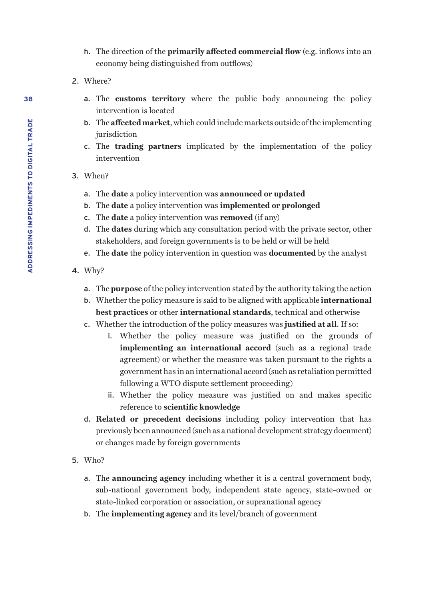- h. The direction of the **primarily affected commercial flow** (e.g. inflows into an economy being distinguished from outflows)
- 2. Where?
	- a. The **customs territory** where the public body announcing the policy intervention is located
	- b. The **affected market**, which could include markets outside of the implementing iurisdiction
	- c. The **trading partners** implicated by the implementation of the policy intervention
- 3. When?
	- a. The **date** a policy intervention was **announced or updated**
	- b. The **date** a policy intervention was **implemented or prolonged**
	- c. The **date** a policy intervention was **removed** (if any)
	- d. The **dates** during which any consultation period with the private sector, other stakeholders, and foreign governments is to be held or will be held
	- e. The **date** the policy intervention in question was **documented** by the analyst
- 4. Why?
	- a. The **purpose** of the policy intervention stated by the authority taking the action
	- b. Whether the policy measure is said to be aligned with applicable **international best practices** or other **international standards**, technical and otherwise
	- c. Whether the introduction of the policy measures was **justified at all**. If so:
		- i. Whether the policy measure was justified on the grounds of **implementing an international accord** (such as a regional trade agreement) or whether the measure was taken pursuant to the rights a government has in an international accord (such as retaliation permitted following a WTO dispute settlement proceeding)
		- ii. Whether the policy measure was justified on and makes specific reference to **scientific knowledge**
	- d. **Related or precedent decisions** including policy intervention that has previously been announced (such as a national development strategy document) or changes made by foreign governments
- 5. Who?
	- a. The **announcing agency** including whether it is a central government body, sub-national government body, independent state agency, state-owned or state-linked corporation or association, or supranational agency
	- b. The **implementing agency** and its level/branch of government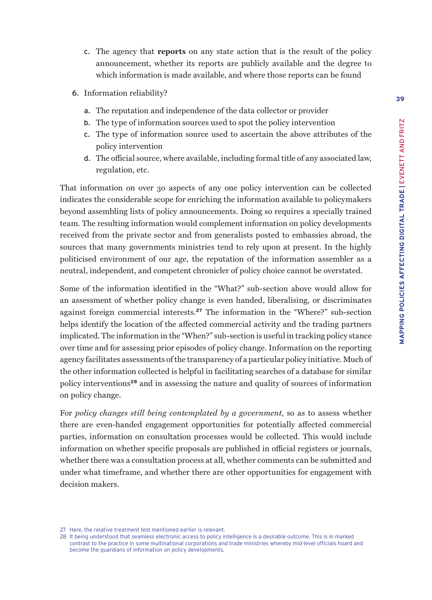- c. The agency that **reports** on any state action that is the result of the policy announcement, whether its reports are publicly available and the degree to which information is made available, and where those reports can be found
- 6. Information reliability?
	- a. The reputation and independence of the data collector or provider
	- b. The type of information sources used to spot the policy intervention
	- c. The type of information source used to ascertain the above attributes of the policy intervention
	- d. The official source, where available, including formal title of any associated law, regulation, etc.

That information on over 30 aspects of any one policy intervention can be collected indicates the considerable scope for enriching the information available to policymakers beyond assembling lists of policy announcements. Doing so requires a specially trained team. The resulting information would complement information on policy developments received from the private sector and from generalists posted to embassies abroad, the sources that many governments ministries tend to rely upon at present. In the highly politicised environment of our age, the reputation of the information assembler as a neutral, independent, and competent chronicler of policy choice cannot be overstated.

Some of the information identified in the "What?" sub-section above would allow for an assessment of whether policy change is even handed, liberalising, or discriminates against foreign commercial interests.**<sup>27</sup>** The information in the "Where?" sub-section helps identify the location of the affected commercial activity and the trading partners implicated. The information in the "When?" sub-section is useful in tracking policy stance over time and for assessing prior episodes of policy change. Information on the reporting agency facilitates assessments of the transparency of a particular policy initiative. Much of the other information collected is helpful in facilitating searches of a database for similar policy interventions**<sup>28</sup>** and in assessing the nature and quality of sources of information on policy change.

For *policy changes still being contemplated by a government*, so as to assess whether there are even-handed engagement opportunities for potentially affected commercial parties, information on consultation processes would be collected. This would include information on whether specific proposals are published in official registers or journals, whether there was a consultation process at all, whether comments can be submitted and under what timeframe, and whether there are other opportunities for engagement with decision makers.

<sup>27</sup> Here, the relative treatment test mentioned earlier is relevant.

<sup>28</sup> It being understood that seamless electronic access to policy intelligence is a desirable outcome. This is in marked contrast to the practice in some multinational corporations and trade ministries whereby mid-level officials hoard and become the guardians of information on policy developments.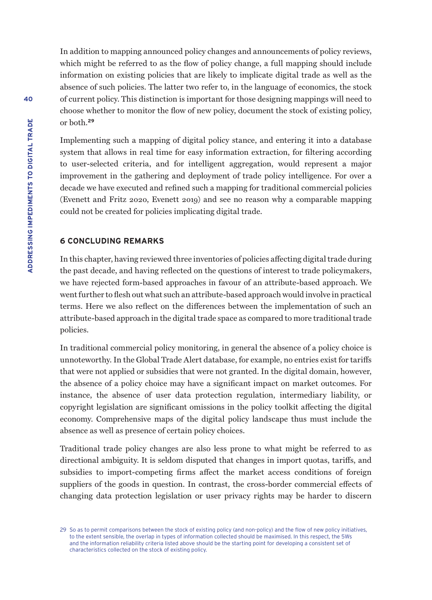In addition to mapping announced policy changes and announcements of policy reviews, which might be referred to as the flow of policy change, a full mapping should include information on existing policies that are likely to implicate digital trade as well as the absence of such policies. The latter two refer to, in the language of economics, the stock of current policy. This distinction is important for those designing mappings will need to choose whether to monitor the flow of new policy, document the stock of existing policy, or both.**<sup>29</sup>**

Implementing such a mapping of digital policy stance, and entering it into a database system that allows in real time for easy information extraction, for filtering according to user-selected criteria, and for intelligent aggregation, would represent a major improvement in the gathering and deployment of trade policy intelligence. For over a decade we have executed and refined such a mapping for traditional commercial policies (Evenett and Fritz 2020, Evenett 2019) and see no reason why a comparable mapping could not be created for policies implicating digital trade.

#### **6 CONCLUDING REMARKS**

In this chapter, having reviewed three inventories of policies affecting digital trade during the past decade, and having reflected on the questions of interest to trade policymakers, we have rejected form-based approaches in favour of an attribute-based approach. We went further to flesh out what such an attribute-based approach would involve in practical terms. Here we also reflect on the differences between the implementation of such an attribute-based approach in the digital trade space as compared to more traditional trade policies.

In traditional commercial policy monitoring, in general the absence of a policy choice is unnoteworthy. In the Global Trade Alert database, for example, no entries exist for tariffs that were not applied or subsidies that were not granted. In the digital domain, however, the absence of a policy choice may have a significant impact on market outcomes. For instance, the absence of user data protection regulation, intermediary liability, or copyright legislation are significant omissions in the policy toolkit affecting the digital economy. Comprehensive maps of the digital policy landscape thus must include the absence as well as presence of certain policy choices.

Traditional trade policy changes are also less prone to what might be referred to as directional ambiguity. It is seldom disputed that changes in import quotas, tariffs, and subsidies to import-competing firms affect the market access conditions of foreign suppliers of the goods in question. In contrast, the cross-border commercial effects of changing data protection legislation or user privacy rights may be harder to discern

<sup>29</sup> So as to permit comparisons between the stock of existing policy (and non-policy) and the flow of new policy initiatives, to the extent sensible, the overlap in types of information collected should be maximised. In this respect, the 5Ws and the information reliability criteria listed above should be the starting point for developing a consistent set of characteristics collected on the stock of existing policy.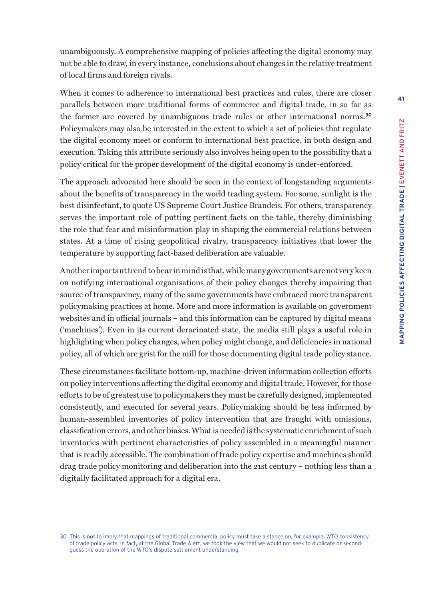unambiguously. A comprehensive mapping of policies affecting the digital economy may not be able to draw, in every instance, conclusions about changes in the relative treatment of local firms and foreign rivals.

When it comes to adherence to international best practices and rules, there are closer parallels between more traditional forms of commerce and digital trade, in so far as the former are covered by unambiguous trade rules or other international norms.**<sup>30</sup>** Policymakers may also be interested in the extent to which a set of policies that regulate the digital economy meet or conform to international best practice, in both design and execution. Taking this attribute seriously also involves being open to the possibility that a policy critical for the proper development of the digital economy is under-enforced.

The approach advocated here should be seen in the context of longstanding arguments about the benefits of transparency in the world trading system. For some, sunlight is the best disinfectant, to quote US Supreme Court Justice Brandeis. For others, transparency serves the important role of putting pertinent facts on the table, thereby diminishing the role that fear and misinformation play in shaping the commercial relations between states. At a time of rising geopolitical rivalry, transparency initiatives that lower the temperature by supporting fact-based deliberation are valuable.

Another important trend to bear in mind is that, while many governments are not very keen on notifying international organisations of their policy changes thereby impairing that source of transparency, many of the same governments have embraced more transparent policymaking practices at home. More and more information is available on government websites and in official journals – and this information can be captured by digital means ('machines'). Even in its current deracinated state, the media still plays a useful role in highlighting when policy changes, when policy might change, and deficiencies in national policy, all of which are grist for the mill for those documenting digital trade policy stance.

These circumstances facilitate bottom-up, machine-driven information collection efforts on policy interventions affecting the digital economy and digital trade. However, for those efforts to be of greatest use to policymakers they must be carefully designed, implemented consistently, and executed for several years. Policymaking should be less informed by human-assembled inventories of policy intervention that are fraught with omissions, classification errors, and other biases. What is needed is the systematic enrichment of such inventories with pertinent characteristics of policy assembled in a meaningful manner that is readily accessible. The combination of trade policy expertise and machines should drag trade policy monitoring and deliberation into the 21st century – nothing less than a digitally facilitated approach for a digital era.

<sup>30</sup> This is not to imply that mappings of traditional commercial policy must take a stance on, for example, WTO consistency of trade policy acts. In fact, at the Global Trade Alert, we took the view that we would not seek to duplicate or secondguess the operation of the WTO's dispute settlement understanding.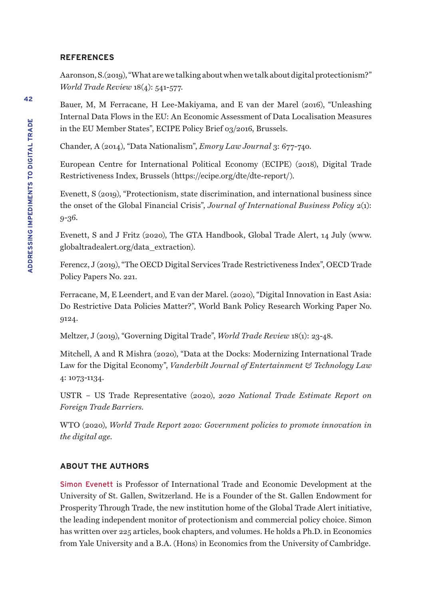#### **REFERENCES**

Aaronson, S.(2019), "What are we talking about when we talk about digital protectionism?" *World Trade Review* 18(4): 541-577.

Bauer, M, M Ferracane, H Lee-Makiyama, and E van der Marel (2016), "Unleashing Internal Data Flows in the EU: An Economic Assessment of Data Localisation Measures in the EU Member States", ECIPE Policy Brief 03/2016, Brussels.

Chander, A (2014), "Data Nationalism", *Emory Law Journal* 3: 677-740.

European Centre for International Political Economy (ECIPE) (2018), Digital Trade Restrictiveness Index, Brussels (https://ecipe.org/dte/dte-report/).

Evenett, S (2019), "Protectionism, state discrimination, and international business since the onset of the Global Financial Crisis", *Journal of International Business Policy* 2(1): 9-36.

Evenett, S and J Fritz (2020), The GTA Handbook, Global Trade Alert, 14 July (www. globaltradealert.org/data\_extraction).

Ferencz, J (2019), "The OECD Digital Services Trade Restrictiveness Index", OECD Trade Policy Papers No. 221.

Ferracane, M, E Leendert, and E van der Marel. (2020), "Digital Innovation in East Asia: Do Restrictive Data Policies Matter?", World Bank Policy Research Working Paper No. 9124.

Meltzer, J (2019), "Governing Digital Trade", *World Trade Review* 18(1): 23-48.

Mitchell, A and R Mishra (2020), "Data at the Docks: Modernizing International Trade Law for the Digital Economy", *Vanderbilt Journal of Entertainment & Technology Law*  4: 1073-1134.

USTR – US Trade Representative (2020), *2020 National Trade Estimate Report on Foreign Trade Barriers.* 

WTO (2020), *World Trade Report 2020: Government policies to promote innovation in the digital age*.

# **ABOUT THE AUTHORS**

Simon Evenett is Professor of International Trade and Economic Development at the University of St. Gallen, Switzerland. He is a Founder of the St. Gallen Endowment for Prosperity Through Trade, the new institution home of the Global Trade Alert initiative, the leading independent monitor of protectionism and commercial policy choice. Simon has written over 225 articles, book chapters, and volumes. He holds a Ph.D. in Economics from Yale University and a B.A. (Hons) in Economics from the University of Cambridge.